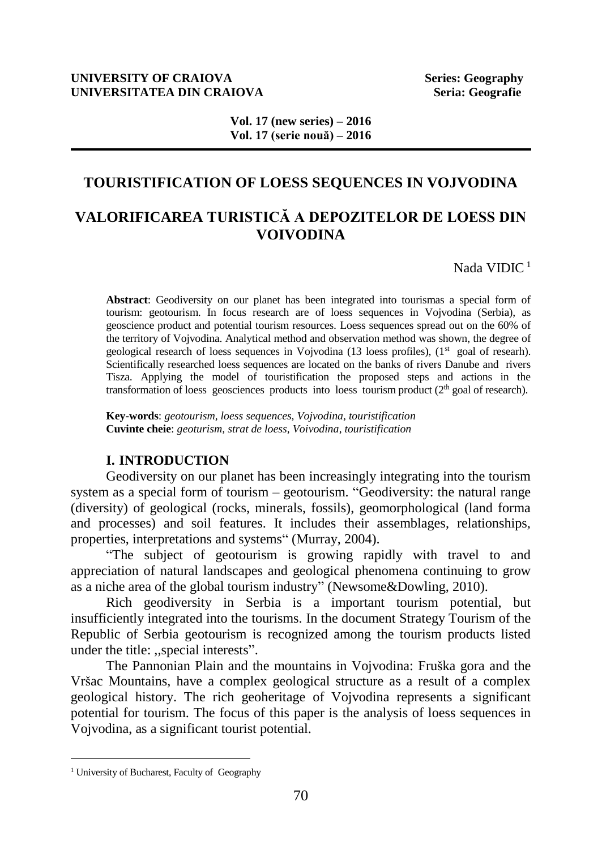#### **UNIVERSITY OF CRAIOVA Series: Geography UNIVERSITATEA DIN CRAIOVA Seria: Geografie Seria: Geografie**

# **TOURISTIFICATION OF LOESS SEQUENCES IN VOJVODINA**

# **VALORIFICAREA TURISTICĂ A DEPOZITELOR DE LOESS DIN VOIVODINA**

Nada VIDIC<sup>1</sup>

**Abstract**: Geodiversity on our planet has been integrated into tourismas a special form of tourism: geotourism. In focus research are of loess sequences in Vojvodina (Serbia), as geoscience product and potential tourism resources. Loess sequences spread out on the 60% of the territory of Vojvodina. Analytical method and observation method was shown, the degree of geological research of loess sequences in Vojvodina (13 loess profiles), (1<sup>st</sup> goal of researh). Scientifically researched loess sequences are located on the banks of rivers Danube and rivers Tisza. Applying the model of touristification the proposed steps and actions in the transformation of loess geosciences products into loess tourism product  $(2<sup>th</sup>$  goal of research).

**Key-words**: *geotourism, loess sequences, Vojvodina, touristification* **Cuvinte cheie**: *geoturism, strat de loess, Voivodina*, *touristification*

#### **I. INTRODUCTION**

Geodiversity on our planet has been increasingly integrating into the tourism system as a special form of tourism – geotourism. "Geodiversity: the natural range (diversity) of geological (rocks, minerals, fossils), geomorphological (land forma and processes) and soil features. It includes their assemblages, relationships, properties, interpretations and systems" (Murray, 2004).

"The subject of geotourism is growing rapidly with travel to and appreciation of natural landscapes and geological phenomena continuing to grow as a niche area of the global tourism industry" (Newsome&Dowling, 2010).

Rich geodiversity in Serbia is a important tourism potential, but insufficiently integrated into the tourisms. In the document Strategy Tourism of the Republic of Serbia geotourism is recognized among the tourism products listed under the title: ,,special interests".

The Pannonian Plain and the mountains in Vojvodina: Fruška gora and the Vršac Mountains, have a complex geological structure as a result of a complex geological history. The rich geoheritage of Vojvodina represents a significant potential for tourism. The focus of this paper is the analysis of loess sequences in Vojvodina, as a significant tourist potential.

l

<sup>&</sup>lt;sup>1</sup> University of Bucharest, Faculty of Geography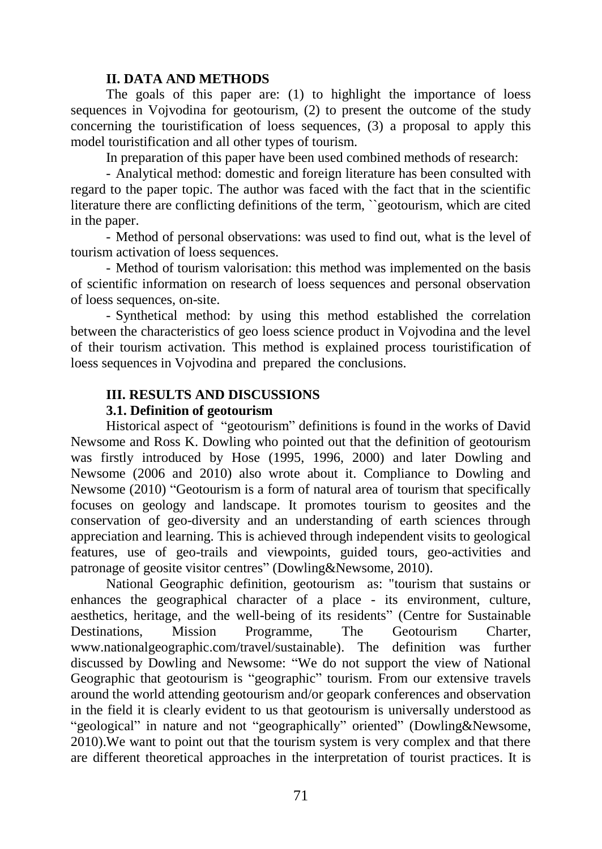#### **II. DATA AND METHODS**

The goals of this paper are: (1) to highlight the importance of loess sequences in Vojvodina for geotourism, (2) to present the outcome of the study concerning the touristification of loess sequences, (3) a proposal to apply this model touristification and all other types of tourism.

In preparation of this paper have been used combined methods of research:

- Analytical method: domestic and foreign literature has been consulted with regard to the paper topic. The author was faced with the fact that in the scientific literature there are conflicting definitions of the term, ``geotourism, which are cited in the paper.

- Method of personal observations: was used to find out, what is the level of tourism activation of loess sequences.

- Method of tourism valorisation: this method was implemented on the basis of scientific information on research of loess sequences and personal observation of loess sequences, on-site.

- Synthetical method: by using this method established the correlation between the characteristics of geo loess science product in Vojvodina and the level of their tourism activation. This method is explained process touristification of loess sequences in Vojvodina and prepared the conclusions.

### **III. RESULTS AND DISCUSSIONS**

### **3.1. Definition of geotourism**

Historical aspect of "geotourism" definitions is found in the works of David Newsome and Ross K. Dowling who pointed out that the definition of geotourism was firstly introduced by Hose (1995, 1996, 2000) and later Dowling and Newsome (2006 and 2010) also wrote about it. Compliance to Dowling and Newsome (2010) "Geotourism is a form of natural area of tourism that specifically focuses on geology and landscape. It promotes tourism to geosites and the conservation of geo-diversity and an understanding of earth sciences through appreciation and learning. This is achieved through independent visits to geological features, use of geo-trails and viewpoints, guided tours, geo-activities and patronage of geosite visitor centres" (Dowling&Newsome, 2010).

National Geographic definition, geotourism as: "tourism that sustains or enhances the geographical character of a place - its environment, culture, aesthetics, heritage, and the well-being of its residents" (Centre for Sustainable Destinations, Mission Programme, The Geotourism Charter, www.nationalgeographic.com/travel/sustainable). The definition was further discussed by Dowling and Newsome: "We do not support the view of National Geographic that geotourism is "geographic" tourism. From our extensive travels around the world attending geotourism and/or geopark conferences and observation in the field it is clearly evident to us that geotourism is universally understood as "geological" in nature and not "geographically" oriented" (Dowling&Newsome, 2010).We want to point out that the tourism system is very complex and that there are different theoretical approaches in the interpretation of tourist practices. It is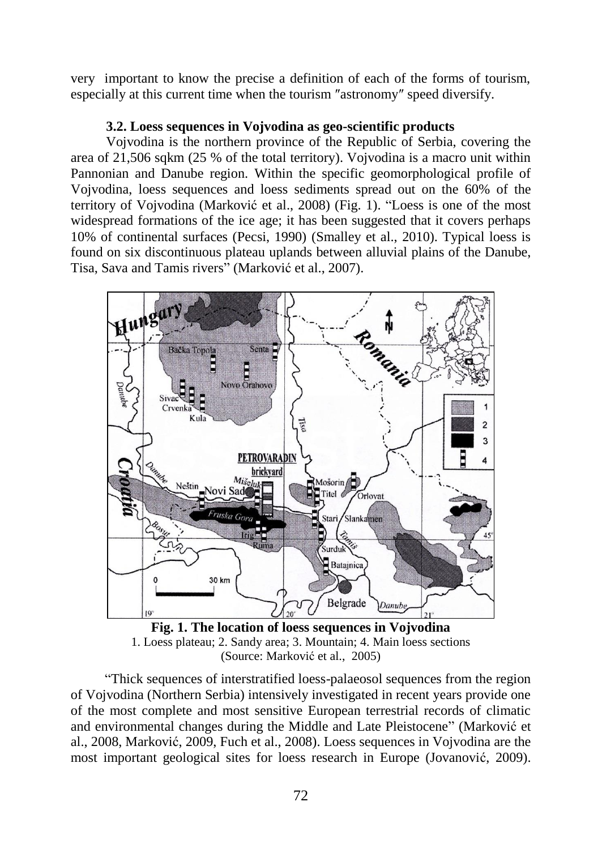very important to know the precise a definition of each of the forms of tourism, especially at this current time when the tourism ″astronomy″ speed diversify.

# **3.2. Loess sequences in Vojvodina as geo-scientific products**

Vojvodina is the northern province of the Republic of Serbia, covering the area of 21,506 sqkm (25 % of the total territory). Vojvodina is a macro unit within Pannonian and Danube region. Within the specific geomorphological profile of Vojvodina, loess sequences and loess sediments spread out on the 60% of the territory of Vojvodina (Marković et al., 2008) (Fig. 1). "Loess is one of the most widespread formations of the ice age; it has been suggested that it covers perhaps 10% of continental surfaces (Pecsi, 1990) (Smalley et al., 2010). Typical loess is found on six discontinuous plateau uplands between alluvial plains of the Danube, Tisa, Sava and Tamis rivers" (Marković et al., 2007).



**Fig. 1. The location of loess sequences in Vojvodina** 1. Loess plateau; 2. Sandy area; 3. Mountain; 4. Main loess sections (Source: Marković et al., 2005)

"Thick sequences of interstratified loess-palaeosol sequences from the region of Vojvodina (Northern Serbia) intensively investigated in recent years provide one of the most complete and most sensitive European terrestrial records of climatic and environmental changes during the Middle and Late Pleistocene" (Marković et al., 2008, Marković, 2009, Fuch et al., 2008). Loess sequences in Vojvodina are the most important geological sites for loess research in Europe (Jovanović, 2009).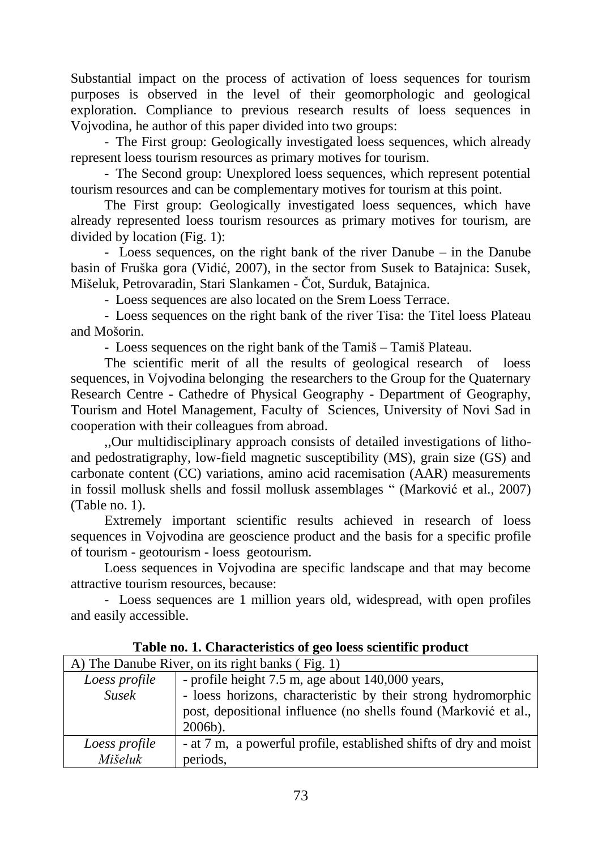Substantial impact on the process of activation of loess sequences for tourism purposes is observed in the level of their geomorphologic and geological exploration. Compliance to previous research results of loess sequences in Vojvodina, he author of this paper divided into two groups:

- The First group: Geologically investigated loess sequences, which already represent loess tourism resources as primary motives for tourism.

- The Second group: Unexplored loess sequences, which represent potential tourism resources and can be complementary motives for tourism at this point.

The First group: Geologically investigated loess sequences, which have already represented loess tourism resources as primary motives for tourism, are divided by location (Fig. 1):

- Loess sequences, on the right bank of the river Danube – in the Danube basin of Fruška gora (Vidić, 2007), in the sector from Susek to Batajnica: Susek, Mišeluk, Petrovaradin, Stari Slankamen - Čot, Surduk, Batajnica.

- Loess sequences are also located on the Srem Loess Terrace.

- Loess sequences on the right bank of the river Tisa: the Titel loess Plateau and Mošorin.

- Loess sequences on the right bank of the Tamiš – Tamiš Plateau.

The scientific merit of all the results of geological research of loess sequences, in Vojvodina belonging the researchers to the Group for the Quaternary Research Centre - Cathedre of Physical Geography - Department of Geography, Tourism and Hotel Management, Faculty of Sciences, University of Novi Sad in cooperation with their colleagues from abroad.

,,Our multidisciplinary approach consists of detailed investigations of lithoand pedostratigraphy, low-field magnetic susceptibility (MS), grain size (GS) and carbonate content (CC) variations, amino acid racemisation (AAR) measurements in fossil mollusk shells and fossil mollusk assemblages " (Marković et al., 2007) (Table no. 1).

Extremely important scientific results achieved in research of loess sequences in Vojvodina are geoscience product and the basis for a specific profile of tourism - geotourism - loess geotourism.

Loess sequences in Vojvodina are specific landscape and that may become attractive tourism resources, because:

- Loess sequences are 1 million years old, widespread, with open profiles and easily accessible.

| A) The Danube River, on its right banks (Fig. 1) |                                                                                                                                                  |  |  |  |  |  |  |
|--------------------------------------------------|--------------------------------------------------------------------------------------------------------------------------------------------------|--|--|--|--|--|--|
| Loess profile                                    | - profile height 7.5 m, age about 140,000 years,                                                                                                 |  |  |  |  |  |  |
| <b>Susek</b>                                     | - loess horizons, characteristic by their strong hydromorphic<br>post, depositional influence (no shells found (Marković et al.,  <br>$2006b$ ). |  |  |  |  |  |  |
| Loess profile<br>Mišeluk                         | - at 7 m, a powerful profile, established shifts of dry and moist<br>periods,                                                                    |  |  |  |  |  |  |

**Table no. 1. Characteristics of geo loess scientific product**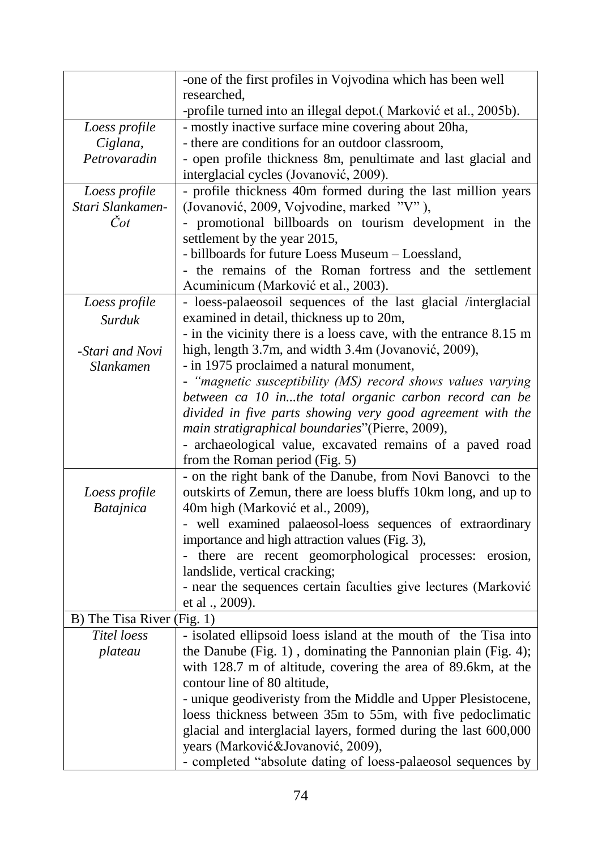|                            | -one of the first profiles in Vojvodina which has been well                              |
|----------------------------|------------------------------------------------------------------------------------------|
|                            | researched,                                                                              |
|                            | -profile turned into an illegal depot.(Marković et al., 2005b).                          |
| Loess profile              | - mostly inactive surface mine covering about 20ha,                                      |
| Ciglana,                   | - there are conditions for an outdoor classroom,                                         |
| Petrovaradin               | - open profile thickness 8m, penultimate and last glacial and                            |
|                            | interglacial cycles (Jovanović, 2009).                                                   |
| Loess profile              | - profile thickness 40m formed during the last million years                             |
| Stari Slankamen-           | (Jovanović, 2009, Vojvodine, marked "V"),                                                |
| Čot                        | - promotional billboards on tourism development in the                                   |
|                            | settlement by the year 2015,                                                             |
|                            | - billboards for future Loess Museum - Loessland,                                        |
|                            | - the remains of the Roman fortress and the settlement                                   |
|                            | Acuminicum (Marković et al., 2003).                                                      |
| Loess profile              | - loess-palaeosoil sequences of the last glacial /interglacial                           |
| Surduk                     | examined in detail, thickness up to 20m,                                                 |
|                            | - in the vicinity there is a loess cave, with the entrance 8.15 m                        |
| -Stari and Novi            | high, length 3.7m, and width 3.4m (Jovanović, 2009),                                     |
| Slankamen                  | - in 1975 proclaimed a natural monument,                                                 |
|                            | - "magnetic susceptibility (MS) record shows values varying                              |
|                            | between ca 10 inthe total organic carbon record can be                                   |
|                            | divided in five parts showing very good agreement with the                               |
|                            | main stratigraphical boundaries"(Pierre, 2009),                                          |
|                            | - archaeological value, excavated remains of a paved road                                |
|                            | from the Roman period (Fig. 5)                                                           |
|                            | - on the right bank of the Danube, from Novi Banovci to the                              |
| Loess profile              | outskirts of Zemun, there are loess bluffs 10km long, and up to                          |
| Batajnica                  | 40m high (Marković et al., 2009),                                                        |
|                            | - well examined palaeosol-loess sequences of extraordinary                               |
|                            | importance and high attraction values (Fig. 3),                                          |
|                            | - there are recent geomorphological processes: erosion,<br>landslide, vertical cracking; |
|                            |                                                                                          |
|                            | - near the sequences certain faculties give lectures (Marković<br>et al ., 2009).        |
| B) The Tisa River (Fig. 1) |                                                                                          |
| Titel loess                | - isolated ellipsoid loess island at the mouth of the Tisa into                          |
| plateau                    | the Danube (Fig. $1$ ), dominating the Pannonian plain (Fig. 4);                         |
|                            | with 128.7 m of altitude, covering the area of 89.6km, at the                            |
|                            | contour line of 80 altitude,                                                             |
|                            | - unique geodiveristy from the Middle and Upper Plesistocene,                            |
|                            | loess thickness between 35m to 55m, with five pedoclimatic                               |
|                            | glacial and interglacial layers, formed during the last 600,000                          |
|                            | years (Marković&Jovanović, 2009),                                                        |
|                            | - completed "absolute dating of loess-palaeosol sequences by                             |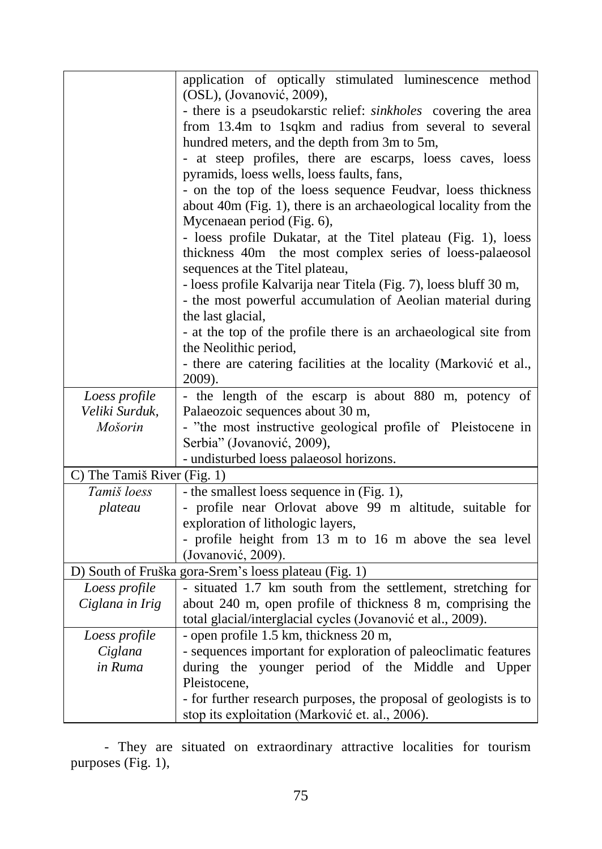|                             | application of optically stimulated luminescence method<br>(OSL), (Jovanović, 2009),                     |  |  |  |  |  |  |  |  |  |  |
|-----------------------------|----------------------------------------------------------------------------------------------------------|--|--|--|--|--|--|--|--|--|--|
|                             | - there is a pseudokarstic relief: sinkholes covering the area                                           |  |  |  |  |  |  |  |  |  |  |
|                             |                                                                                                          |  |  |  |  |  |  |  |  |  |  |
|                             | from 13.4m to 1sqkm and radius from several to several                                                   |  |  |  |  |  |  |  |  |  |  |
|                             | hundred meters, and the depth from 3m to 5m,                                                             |  |  |  |  |  |  |  |  |  |  |
|                             | - at steep profiles, there are escarps, loess caves, loess<br>pyramids, loess wells, loess faults, fans, |  |  |  |  |  |  |  |  |  |  |
|                             | - on the top of the loess sequence Feudvar, loess thickness                                              |  |  |  |  |  |  |  |  |  |  |
|                             | about 40m (Fig. 1), there is an archaeological locality from the                                         |  |  |  |  |  |  |  |  |  |  |
|                             | Mycenaean period (Fig. 6),                                                                               |  |  |  |  |  |  |  |  |  |  |
|                             | - loess profile Dukatar, at the Titel plateau (Fig. 1), loess                                            |  |  |  |  |  |  |  |  |  |  |
|                             | thickness 40m the most complex series of loess-palaeosol                                                 |  |  |  |  |  |  |  |  |  |  |
|                             | sequences at the Titel plateau,                                                                          |  |  |  |  |  |  |  |  |  |  |
|                             | - loess profile Kalvarija near Titela (Fig. 7), loess bluff 30 m,                                        |  |  |  |  |  |  |  |  |  |  |
|                             | - the most powerful accumulation of Aeolian material during                                              |  |  |  |  |  |  |  |  |  |  |
|                             | the last glacial,                                                                                        |  |  |  |  |  |  |  |  |  |  |
|                             | - at the top of the profile there is an archaeological site from                                         |  |  |  |  |  |  |  |  |  |  |
|                             | the Neolithic period,                                                                                    |  |  |  |  |  |  |  |  |  |  |
|                             | - there are catering facilities at the locality (Marković et al.,                                        |  |  |  |  |  |  |  |  |  |  |
|                             | 2009).                                                                                                   |  |  |  |  |  |  |  |  |  |  |
| Loess profile               | - the length of the escarp is about 880 m, potency of                                                    |  |  |  |  |  |  |  |  |  |  |
| Veliki Surduk,              | Palaeozoic sequences about 30 m,                                                                         |  |  |  |  |  |  |  |  |  |  |
| Mošorin                     | - "the most instructive geological profile of Pleistocene in                                             |  |  |  |  |  |  |  |  |  |  |
|                             | Serbia" (Jovanović, 2009),                                                                               |  |  |  |  |  |  |  |  |  |  |
|                             | - undisturbed loess palaeosol horizons.                                                                  |  |  |  |  |  |  |  |  |  |  |
| C) The Tamiš River (Fig. 1) |                                                                                                          |  |  |  |  |  |  |  |  |  |  |
| Tamiš loess                 | - the smallest loess sequence in (Fig. 1),                                                               |  |  |  |  |  |  |  |  |  |  |
| plateau                     | - profile near Orlovat above 99 m altitude, suitable for                                                 |  |  |  |  |  |  |  |  |  |  |
|                             | exploration of lithologic layers,                                                                        |  |  |  |  |  |  |  |  |  |  |
|                             | - profile height from 13 m to 16 m above the sea level                                                   |  |  |  |  |  |  |  |  |  |  |
|                             | (Jovanović, 2009).                                                                                       |  |  |  |  |  |  |  |  |  |  |
|                             | D) South of Fruška gora-Srem's loess plateau (Fig. 1)                                                    |  |  |  |  |  |  |  |  |  |  |
| Loess profile               | - situated 1.7 km south from the settlement, stretching for                                              |  |  |  |  |  |  |  |  |  |  |
| Ciglana in Irig             | about 240 m, open profile of thickness 8 m, comprising the                                               |  |  |  |  |  |  |  |  |  |  |
|                             | total glacial/interglacial cycles (Jovanović et al., 2009).                                              |  |  |  |  |  |  |  |  |  |  |
| Loess profile               | - open profile 1.5 km, thickness 20 m,                                                                   |  |  |  |  |  |  |  |  |  |  |
| Ciglana                     | - sequences important for exploration of paleoclimatic features                                          |  |  |  |  |  |  |  |  |  |  |
| in Ruma                     | younger period of the Middle and Upper<br>during the                                                     |  |  |  |  |  |  |  |  |  |  |
|                             | Pleistocene,                                                                                             |  |  |  |  |  |  |  |  |  |  |
|                             | - for further research purposes, the proposal of geologists is to                                        |  |  |  |  |  |  |  |  |  |  |
|                             | stop its exploitation (Marković et. al., 2006).                                                          |  |  |  |  |  |  |  |  |  |  |

- They are situated on extraordinary attractive localities for tourism purposes (Fig. 1),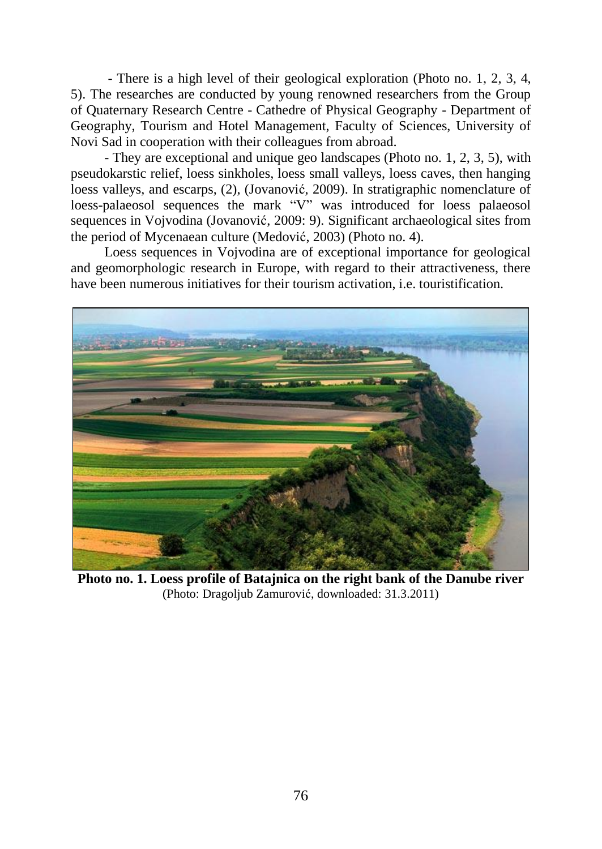- There is a high level of their geological exploration (Photo no. 1, 2, 3, 4, 5). The researches are conducted by young renowned researchers from the Group of Quaternary Research Centre - Cathedre of Physical Geography - Department of Geography, Tourism and Hotel Management, Faculty of Sciences, University of Novi Sad in cooperation with their colleagues from abroad.

- They are exceptional and unique geo landscapes (Photo no. 1, 2, 3, 5), with pseudokarstic relief, loess sinkholes, loess small valleys, loess caves, then hanging loess valleys, and escarps, (2), (Jovanović, 2009). In stratigraphic nomenclature of loess-palaeosol sequences the mark "V" was introduced for loess palaeosol sequences in Vojvodina (Jovanović, 2009: 9). Significant archaeological sites from the period of Mycenaean culture (Medović, 2003) (Photo no. 4).

Loess sequences in Vojvodina are of exceptional importance for geological and geomorphologic research in Europe, with regard to their attractiveness, there have been numerous initiatives for their tourism activation, i.e. touristification.



**Photo no. 1. Loess profile of Batajnica on the right bank of the Danube river** (Photo: Dragoljub Zamurović, downloaded: 31.3.2011)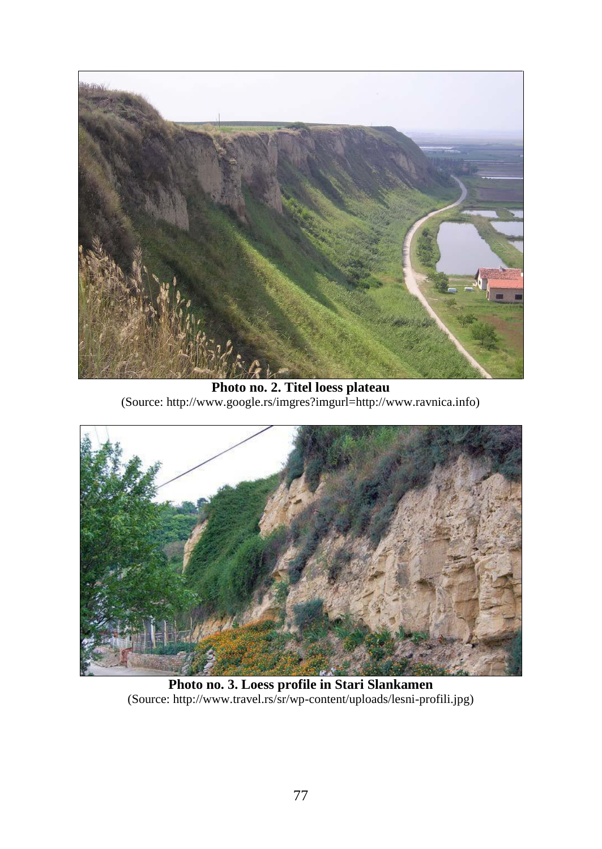

**Photo no. 2. Titel loess plateau**  (Source: http://www.google.rs/imgres?imgurl=http://www.ravnica.info)



**Photo no. 3. Loess profile in Stari Slankamen**  (Source: [http://www.travel.rs/sr/wp-content/uploads/lesni-profili.jpg\)](http://www.travel.rs/sr/wp-content/uploads/lesni-profili.jpg)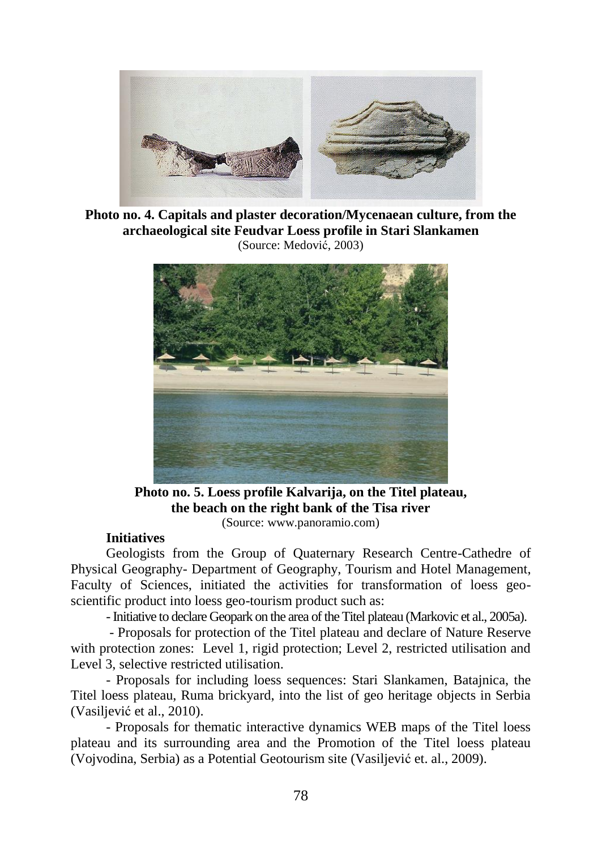

**Photo no. 4. Capitals and plaster decoration/Mycenaean culture, from the archaeological site Feudvar Loess profile in Stari Slankamen**  (Source: Medović, 2003)



**Photo no. 5. Loess profile Kalvarija, on the Titel plateau, the beach on the right bank of the Tisa river**  (Source: www.panoramio.com)

#### **Initiatives**

Geologists from the Group of Quaternary Research Centre-Cathedre of Physical Geography- Department of Geography, Tourism and Hotel Management, Faculty of Sciences, initiated the activities for transformation of loess geoscientific product into loess geo-tourism product such as:

-Initiative to declare Geopark on the area of the Titel plateau (Markovic et al., 2005a).

- Proposals for protection of the Titel plateau and declare of Nature Reserve with protection zones: Level 1, rigid protection; Level 2, restricted utilisation and Level 3, selective restricted utilisation.

- Proposals for including loess sequences: Stari Slankamen, Batajnica, the Titel loess plateau, Ruma brickyard, into the list of geo heritage objects in Serbia (Vasiljević et al., 2010).

- Proposals for thematic interactive dynamics WEB maps of the Titel loess plateau and its surrounding area and the Promotion of the Titel loess plateau (Vojvodina, Serbia) as a Potential Geotourism site (Vasiljević et. al., 2009).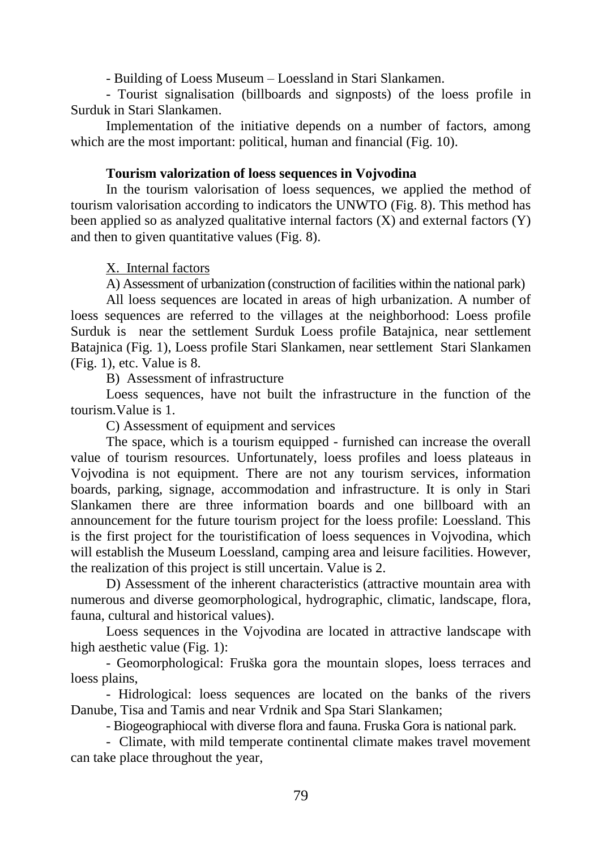- Building of Loess Museum – Loessland in Stari Slankamen.

- Tourist signalisation (billboards and signposts) of the loess profile in Surduk in Stari Slankamen.

Implementation of the initiative depends on a number of factors, among which are the most important: political, human and financial (Fig. 10).

# **Tourism valorization of loess sequences in Vojvodina**

In the tourism valorisation of loess sequences, we applied the method of tourism valorisation according to indicators the UNWTO (Fig. 8). This method has been applied so as analyzed qualitative internal factors  $(X)$  and external factors  $(Y)$ and then to given quantitative values (Fig. 8).

# X. Internal factors

A) Assessment of urbanization (construction of facilities within the national park)

All loess sequences are located in areas of high urbanization. A number of loess sequences are referred to the villages at the neighborhood: Loess profile Surduk is near the settlement Surduk Loess profile Batajnica, near settlement Batajnica (Fig. 1), Loess profile Stari Slankamen, near settlement Stari Slankamen (Fig. 1), etc. Value is 8.

B) Assessment of infrastructure

Loess sequences, have not built the infrastructure in the function of the tourism.Value is 1.

C) Assessment of equipment and services

The space, which is a tourism equipped - furnished can increase the overall value of tourism resources. Unfortunately, loess profiles and loess plateaus in Vojvodina is not equipment. There are not any tourism services, information boards, parking, signage, accommodation and infrastructure. It is only in Stari Slankamen there are three information boards and one billboard with an announcement for the future tourism project for the loess profile: Loessland. This is the first project for the touristification of loess sequences in Vojvodina, which will establish the Museum Loessland, camping area and leisure facilities. However, the realization of this project is still uncertain. Value is 2.

D) Assessment of the inherent characteristics (attractive mountain area with numerous and diverse geomorphological, hydrographic, climatic, landscape, flora, fauna, cultural and historical values).

Loess sequences in the Vojvodina are located in attractive landscape with high aesthetic value (Fig. 1):

- Geomorphological: Fruška gora the mountain slopes, loess terraces and loess plains,

- Hidrological: loess sequences are located on the banks of the rivers Danube, Tisa and Tamis and near Vrdnik and Spa Stari Slankamen;

- Biogeographiocal with diverse flora and fauna. Fruska Gora is national park.

- Climate, with mild temperate continental climate makes travel movement can take place throughout the year,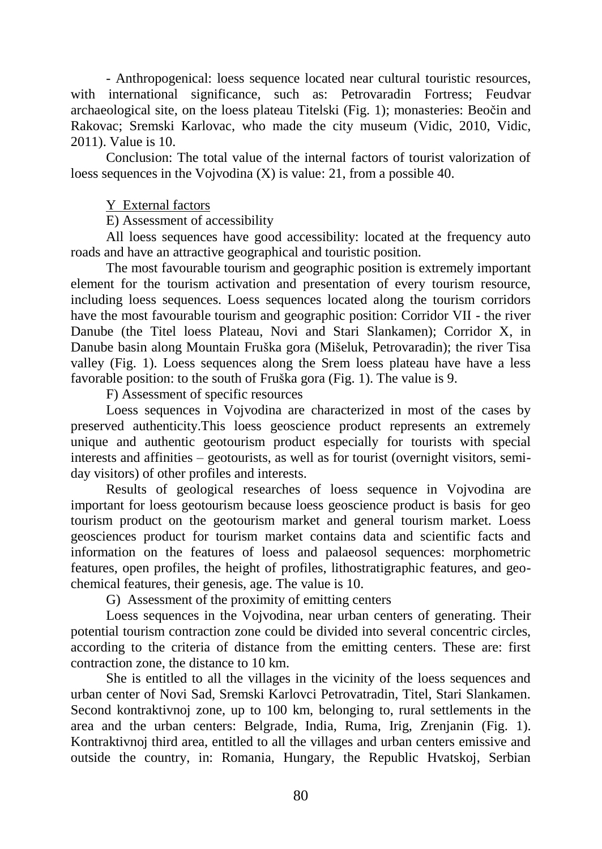- Anthropogenical: loess sequence located near cultural touristic resources, with international significance, such as: Petrovaradin Fortress; Feudvar archaeological site, on the loess plateau Titelski (Fig. 1); monasteries: Beočin and Rakovac; Sremski Karlovac, who made the city museum (Vidic, 2010, Vidic, 2011). Value is 10.

Conclusion: The total value of the internal factors of tourist valorization of loess sequences in the Vojvodina (X) is value: 21, from a possible 40.

# Y External factors

E) Assessment of accessibility

All loess sequences have good accessibility: located at the frequency auto roads and have an attractive geographical and touristic position.

The most favourable tourism and geographic position is extremely important element for the tourism activation and presentation of every tourism resource, including loess sequences. Loess sequences located along the tourism corridors have the most favourable tourism and geographic position: Corridor VII - the river Danube (the Titel loess Plateau, Novi and Stari Slankamen); Corridor X, in Danube basin along Mountain Fruška gora (Mišeluk, Petrovaradin); the river Tisa valley (Fig. 1). Loess sequences along the Srem loess plateau have have a less favorable position: to the south of Fruška gora (Fig. 1). The value is 9.

F) Assessment of specific resources

Loess sequences in Vojvodina are characterized in most of the cases by preserved authenticity.This loess geoscience product represents an extremely unique and authentic geotourism product especially for tourists with special interests and affinities – geotourists, as well as for tourist (overnight visitors, semiday visitors) of other profiles and interests.

Results of geological researches of loess sequence in Vojvodina are important for loess geotourism because loess geoscience product is basis for geo tourism product on the geotourism market and general tourism market. Loess geosciences product for tourism market contains data and scientific facts and information on the features of loess and palaeosol sequences: morphometric features, open profiles, the height of profiles, lithostratigraphic features, and geochemical features, their genesis, age. The value is 10.

G) Assessment of the proximity of emitting centers

Loess sequences in the Vojvodina, near urban centers of generating. Their potential tourism contraction zone could be divided into several concentric circles, according to the criteria of distance from the emitting centers. These are: first contraction zone, the distance to 10 km.

She is entitled to all the villages in the vicinity of the loess sequences and urban center of Novi Sad, Sremski Karlovci Petrovatradin, Titel, Stari Slankamen. Second kontraktivnoj zone, up to 100 km, belonging to, rural settlements in the area and the urban centers: Belgrade, India, Ruma, Irig, Zrenjanin (Fig. 1). Kontraktivnoj third area, entitled to all the villages and urban centers emissive and outside the country, in: Romania, Hungary, the Republic Hvatskoj, Serbian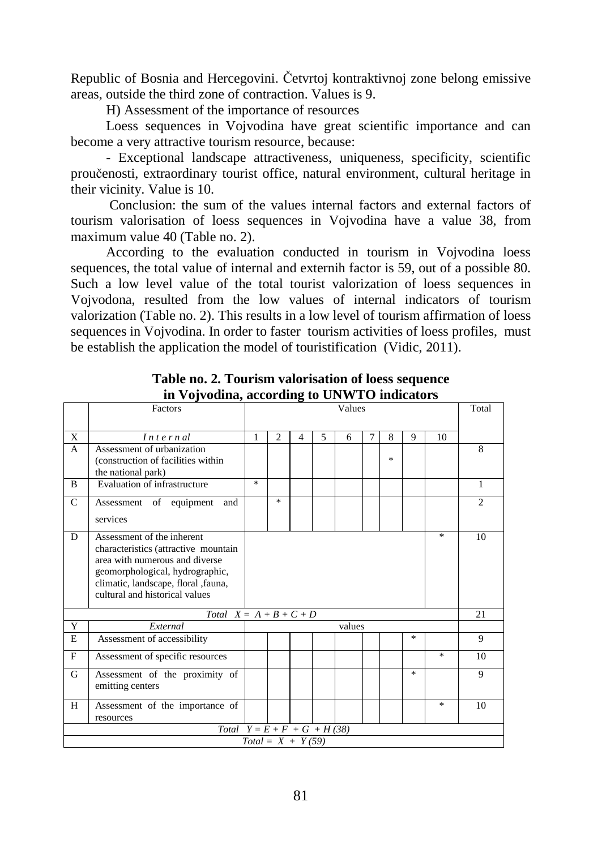Republic of Bosnia and Hercegovini. Četvrtoj kontraktivnoj zone belong emissive areas, outside the third zone of contraction. Values is 9.

H) Assessment of the importance of resources

Loess sequences in Vojvodina have great scientific importance and can become a very attractive tourism resource, because:

- Exceptional landscape attractiveness, uniqueness, specificity, scientific proučenosti, extraordinary tourist office, natural environment, cultural heritage in their vicinity. Value is 10.

Conclusion: the sum of the values internal factors and external factors of tourism valorisation of loess sequences in Vojvodina have a value 38, from maximum value 40 (Table no. 2).

According to the evaluation conducted in tourism in Vojvodina loess sequences, the total value of internal and externih factor is 59, out of a possible 80. Such a low level value of the total tourist valorization of loess sequences in Vojvodona, resulted from the low values of internal indicators of tourism valorization (Table no. 2). This results in a low level of tourism affirmation of loess sequences in Vojvodina. In order to faster tourism activities of loess profiles, must be establish the application the model of touristification (Vidic, 2011).

|                               | Factors                                                                | Values |                |   |   |        |   |   | Total  |                                   |                |
|-------------------------------|------------------------------------------------------------------------|--------|----------------|---|---|--------|---|---|--------|-----------------------------------|----------------|
|                               |                                                                        |        |                |   |   |        |   |   |        |                                   |                |
| X                             | Internal                                                               |        | $\overline{2}$ | 4 | 5 | 6      | 7 | 8 | 9      | 10                                |                |
| $\mathsf{A}$                  | Assessment of urbanization                                             |        |                |   |   |        |   |   |        |                                   | 8              |
|                               | (construction of facilities within                                     |        |                |   |   |        |   | * |        |                                   |                |
|                               | the national park)                                                     |        |                |   |   |        |   |   |        |                                   |                |
| $\mathbf{B}$                  | Evaluation of infrastructure                                           |        |                |   |   |        |   |   |        |                                   | 1              |
| $\mathcal{C}$                 | Assessment of equipment<br>and                                         |        | $\frac{1}{26}$ |   |   |        |   |   |        |                                   | $\mathfrak{D}$ |
|                               | services                                                               |        |                |   |   |        |   |   |        |                                   |                |
|                               |                                                                        |        |                |   |   |        |   |   |        | $\mathcal{M}$                     |                |
| D                             | Assessment of the inherent                                             |        |                |   |   |        |   |   |        | 10                                |                |
|                               | characteristics (attractive mountain<br>area with numerous and diverse |        |                |   |   |        |   |   |        |                                   |                |
|                               | geomorphological, hydrographic,                                        |        |                |   |   |        |   |   |        |                                   |                |
|                               | climatic, landscape, floral , fauna,                                   |        |                |   |   |        |   |   |        |                                   |                |
|                               | cultural and historical values                                         |        |                |   |   |        |   |   |        |                                   |                |
| Total $X = A + B + C + D$     |                                                                        |        |                |   |   |        |   |   | 21     |                                   |                |
| Y                             | External                                                               |        |                |   |   | values |   |   |        |                                   |                |
| E                             | Assessment of accessibility                                            |        |                |   |   |        |   |   | $\ast$ |                                   | 9              |
|                               |                                                                        |        |                |   |   |        |   |   |        |                                   |                |
| F                             | Assessment of specific resources                                       |        |                |   |   |        |   |   |        | $\frac{d\mathbf{x}}{d\mathbf{x}}$ | 10             |
| G                             | Assessment of the proximity of                                         |        |                |   |   |        |   |   | $\ast$ |                                   | 9              |
|                               | emitting centers                                                       |        |                |   |   |        |   |   |        |                                   |                |
| H                             | Assessment of the importance of                                        |        |                |   |   |        |   |   |        | $\frac{d\mathbf{x}}{d\mathbf{x}}$ | 10             |
|                               | resources                                                              |        |                |   |   |        |   |   |        |                                   |                |
| Total $Y = E + F + G + H(38)$ |                                                                        |        |                |   |   |        |   |   |        |                                   |                |
| $Total = X + Y(59)$           |                                                                        |        |                |   |   |        |   |   |        |                                   |                |

**Table no. 2. Tourism valorisation of loess sequence in Vojvodina, according to UNWTO indicators**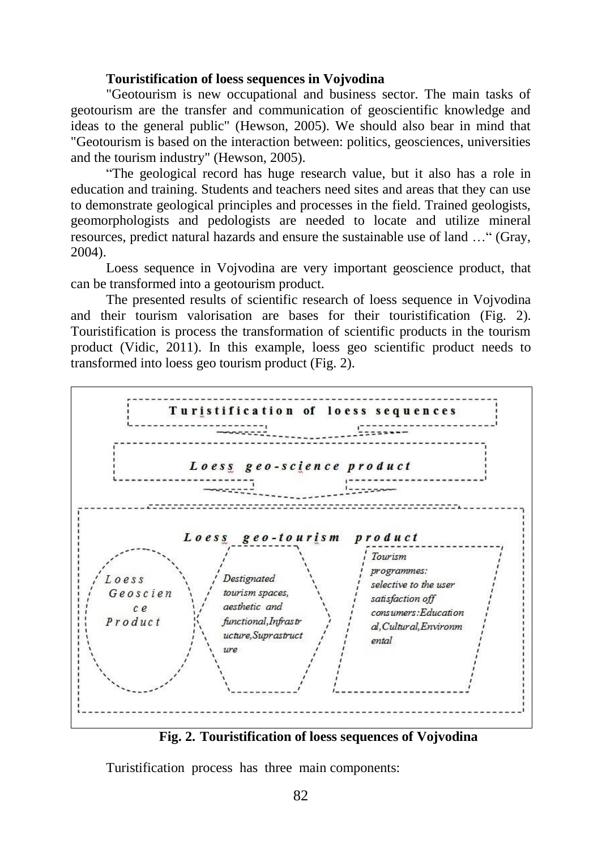#### **Touristification of loess sequences in Vojvodina**

"Geotourism is new occupational and business sector. The main tasks of geotourism are the transfer and communication of geoscientific knowledge and ideas to the general public" (Hewson, 2005). We should also bear in mind that "Geotourism is based on the interaction between: politics, geosciences, universities and the tourism industry" (Hewson, 2005).

"The geological record has huge research value, but it also has a role in education and training. Students and teachers need sites and areas that they can use to demonstrate geological principles and processes in the field. Trained geologists, geomorphologists and pedologists are needed to locate and utilize mineral resources, predict natural hazards and ensure the sustainable use of land …" (Gray, 2004).

Loess sequence in Vojvodina are very important geoscience product, that can be transformed into a geotourism product.

The presented results of scientific research of loess sequence in Vojvodina and their tourism valorisation are bases for their touristification (Fig. 2). Touristification is process the transformation of scientific products in the tourism product (Vidic, 2011). In this example, loess geo scientific product needs to transformed into loess geo tourism product (Fig. 2).



**Fig. 2. Touristification of loess sequences of Vojvodina**

Turistification process has three main components: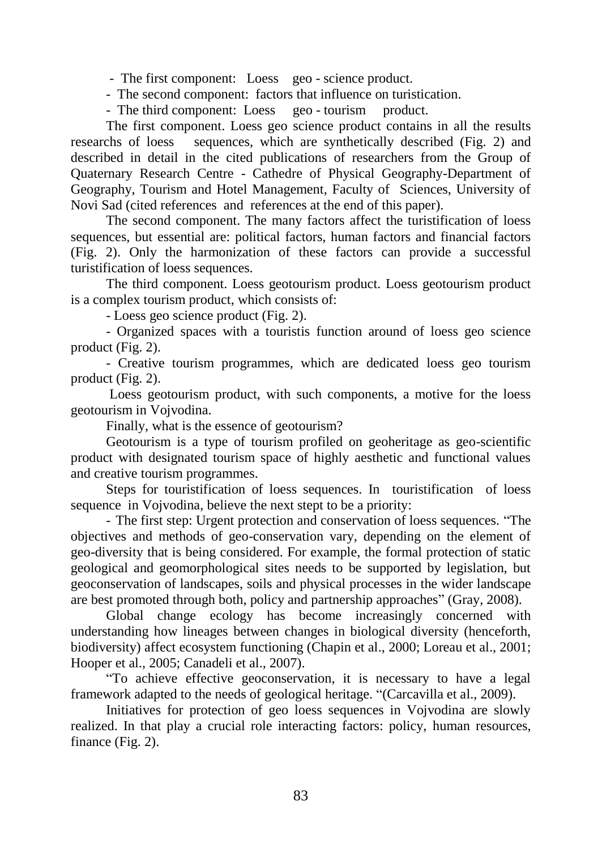- The first component: Loess geo - science product.

- The second component: factors that influence on turistication.

- The third component: Loess geo - tourism product.

The first component. Loess geo science product contains in all the results researchs of loess sequences, which are synthetically described (Fig. 2) and sequences, which are synthetically described (Fig. 2) and described in detail in the cited publications of researchers from the Group of Quaternary Research Centre - Cathedre of Physical Geography-Department of Geography, Tourism and Hotel Management, Faculty of Sciences, University of Novi Sad (cited references and references at the end of this paper).

The second component. The many factors affect the turistification of loess sequences, but essential are: political factors, human factors and financial factors (Fig. 2). Only the harmonization of these factors can provide a successful turistification of loess sequences.

The third component. Loess geotourism product. Loess geotourism product is a complex tourism product, which consists of:

- Loess geo science product (Fig. 2).

- Organized spaces with a touristis function around of loess geo science product (Fig. 2).

- Creative tourism programmes, which are dedicated loess geo tourism product (Fig. 2).

Loess geotourism product, with such components, a motive for the loess geotourism in Vojvodina.

Finally, what is the essence of geotourism?

Geotourism is a type of tourism profiled on geoheritage as geo-scientific product with designated tourism space of highly aesthetic and functional values and creative tourism programmes.

Steps for touristification of loess sequences. In touristification of loess sequence in Vojvodina, believe the next stept to be a priority:

- The first step: Urgent protection and conservation of loess sequences. "The objectives and methods of geo-conservation vary, depending on the element of geo-diversity that is being considered. For example, the formal protection of static geological and geomorphological sites needs to be supported by legislation, but geoconservation of landscapes, soils and physical processes in the wider landscape are best promoted through both, policy and partnership approaches" (Gray, 2008).

Global change ecology has become increasingly concerned with understanding how lineages between changes in biological diversity (henceforth, biodiversity) affect ecosystem functioning (Chapin et al., 2000; Loreau et al., 2001; Hooper et al., 2005; Canadeli et al., 2007).

"To achieve effective geoconservation, it is necessary to have a legal framework adapted to the needs of geological heritage. "(Carcavilla et al., 2009).

Initiatives for protection of geo loess sequences in Vojvodina are slowly realized. In that play a crucial role interacting factors: policy, human resources, finance (Fig. 2).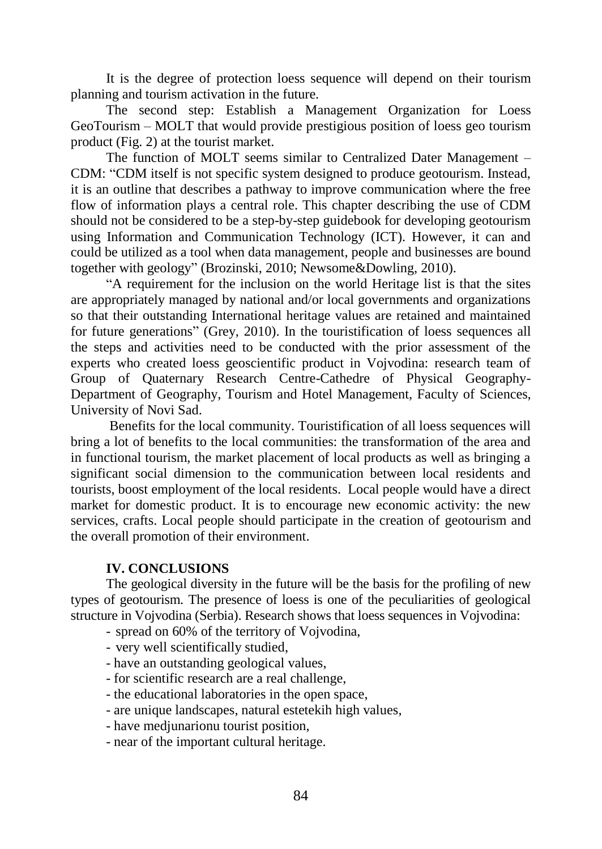It is the degree of protection loess sequence will depend on their tourism planning and tourism activation in the future.

The second step: Establish a Management Organization for Loess GeoTourism – MOLT that would provide prestigious position of loess geo tourism product (Fig. 2) at the tourist market.

The function of MOLT seems similar to Centralized Dater Management – CDM: "CDM itself is not specific system designed to produce geotourism. Instead, it is an outline that describes a pathway to improve communication where the free flow of information plays a central role. This chapter describing the use of CDM should not be considered to be a step-by-step guidebook for developing geotourism using Information and Communication Technology (ICT). However, it can and could be utilized as a tool when data management, people and businesses are bound together with geology" (Brozinski, 2010; Newsome&Dowling, 2010).

"A requirement for the inclusion on the world Heritage list is that the sites are appropriately managed by national and/or local governments and organizations so that their outstanding International heritage values are retained and maintained for future generations" (Grey, 2010). In the touristification of loess sequences all the steps and activities need to be conducted with the prior assessment of the experts who created loess geoscientific product in Vojvodina: research team of Group of Quaternary Research Centre-Cathedre of Physical Geography-Department of Geography, Tourism and Hotel Management, Faculty of Sciences, University of Novi Sad.

Benefits for the local community. Touristification of all loess sequences will bring a lot of benefits to the local communities: the transformation of the area and in functional tourism, the market placement of local products as well as bringing a significant social dimension to the communication between local residents and tourists, boost employment of the local residents. Local people would have a direct market for domestic product. It is to encourage new economic activity: the new services, crafts. Local people should participate in the creation of geotourism and the overall promotion of their environment.

# **IV. CONCLUSIONS**

The geological diversity in the future will be the basis for the profiling of new types of geotourism. The presence of loess is one of the peculiarities of geological structure in Vojvodina (Serbia). Research shows that loess sequences in Vojvodina:

- spread on 60% of the territory of Vojvodina,
- very well scientifically studied,
- have an outstanding geological values,
- for scientific research are a real challenge,
- the educational laboratories in the open space,
- are unique landscapes, natural estetekih high values,
- have medjunarionu tourist position,
- near of the important cultural heritage.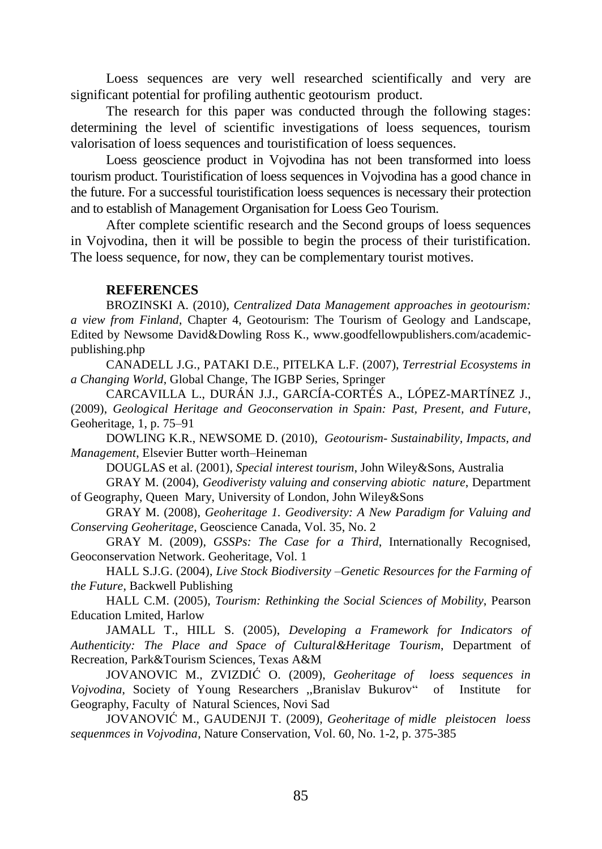Loess sequences are very well researched scientifically and very are significant potential for profiling authentic geotourism product.

The research for this paper was conducted through the following stages: determining the level of scientific investigations of loess sequences, tourism valorisation of loess sequences and touristification of loess sequences.

Loess geoscience product in Vojvodina has not been transformed into loess tourism product. Touristification of loess sequences in Vojvodina has a good chance in the future. For a successful touristification loess sequences is necessary their protection and to establish of Management Organisation for Loess Geo Tourism.

After complete scientific research and the Second groups of loess sequences in Vojvodina, then it will be possible to begin the process of their turistification. The loess sequence, for now, they can be complementary tourist motives.

#### **REFERENCES**

BROZINSKI A. (2010), *Centralized Data Management approaches in geotourism: a view from Finland*, Chapter 4, Geotourism: The Tourism of Geology and Landscape, Edited by Newsome David&Dowling Ross K., www.goodfellowpublishers.com/academicpublishing.php

CANADELL J.G., PATAKI D.E., PITELKA L.F. (2007), *Terrestrial Ecosystems in a Changing World*, Global Change, The IGBP Series, Springer

CARCAVILLA L., DURÁN J.J., GARCÍA-CORTÉS A., LÓPEZ-MARTÍNEZ J., (2009), *Geological Heritage and Geoconservation in Spain: Past, Present, and Future*, Geoheritage, 1, p. 75–91

DOWLING K.R., NEWSOME D. (2010), *Geotourism- Sustainability, Impacts, and Management*, Elsevier Butter worth–Heineman

DOUGLAS et al. (2001), *Special interest tourism*, John Wiley&Sons, Australia

GRAY M. (2004), *Geodiveristy valuing and conserving abiotic nature*, Department of Geography, Queen Mary, University of London, John Wiley&Sons

GRAY M. (2008), *Geoheritage 1. Geodiversity: A New Paradigm for Valuing and Conserving Geoheritage*, Geoscience Canada, Vol. 35, No. 2

GRAY M. (2009), *GSSPs: The Case for a Third*, Internationally Recognised, Geoconservation Network. Geoheritage, Vol. 1

HALL S.J.G. (2004), *Live Stock Biodiversity –Genetic Resources for the Farming of the Future*, Backwell Publishing

HALL C.M. (2005), *Tourism: Rethinking the Social Sciences of Mobility*, Pearson Education Lmited, Harlow

JAMALL T., HILL S. (2005), *Developing a Framework for Indicators of Authenticity: The Place and Space of Cultural&Heritage Tourism*, Department of Recreation, Park&Tourism Sciences, Texas A&M

JOVANOVIC M., ZVIZDIĆ O. (2009), *Geoheritage of loess sequences in Vojvodina*, Society of Young Researchers ,,Branislav Bukurov" of Institute for Geography, Faculty of Natural Sciences, Novi Sad

JOVANOVIĆ M., GAUDENJI T. (2009), *Geoheritage of midle pleistocen loess sequenmces in Vojvodina*, Nature Conservation, Vol. 60, No. 1-2, p. 375-385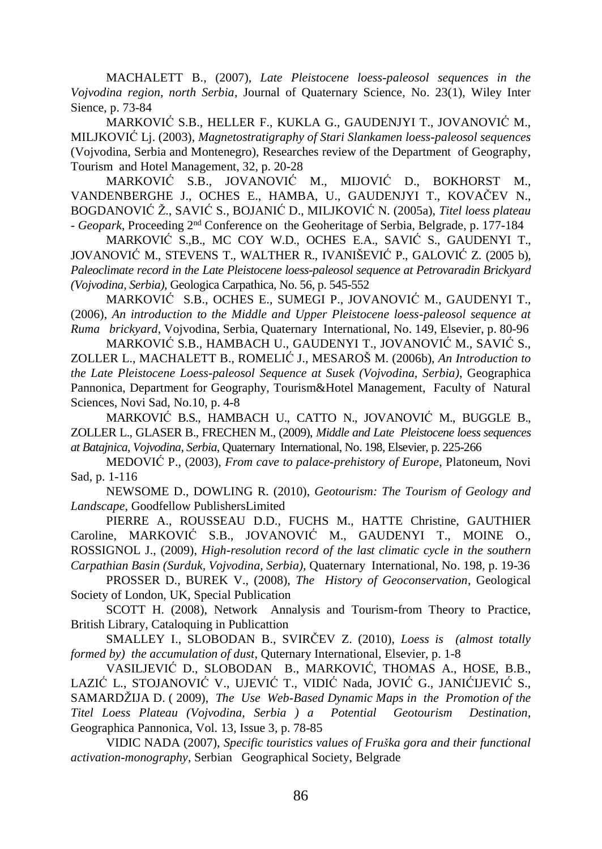MACHALETT B., (2007), *Late Pleistocene loess-paleosol sequences in the Vojvodina region, north Serbia*, Journal of Quaternary Science, No. 23(1), Wiley Inter Sience, p. 73-84

MARKOVIĆ S.B., HELLER F., KUKLA G., GAUDENJYI T., JOVANOVIĆ M., MILJKOVIĆ Lj. (2003), *Magnetostratigraphy of Stari Slankamen loess-paleosol sequences* (Vojvodina, Serbia and Montenegro), Researches review of the Department of Geography, Tourism and Hotel Management, 32, p. 20-28

MARKOVIĆ S.B., JOVANOVIĆ M., MIJOVIĆ D., BOKHORST M., VANDENBERGHE J., OCHES E., HAMBA, U., GAUDENJYI T., KOVAČEV N., BOGDANOVIĆ Ž., SAVIĆ S., BOJANIĆ D., MILJKOVIĆ N. (2005a), *Titel loess plateau - Geopark*, Proceeding 2nd Conference on the Geoheritage of Serbia, Belgrade, p. 177-184

MARKOVIĆ S.B., MC COY W.D., OCHES E.A., SAVIĆ S., GAUDENYI T., JOVANOVIĆ M., STEVENS T., WALTHER R., IVANIŠEVIĆ P., GALOVIĆ Z. (2005 b), *Paleoclimate record in the Late Pleistocene loess-paleosol sequence at Petrovaradin Brickyard (Vojvodina, Serbia),* Geologica Carpathica, No. 56, p. 545-552

MARKOVIĆ S.B., OCHES E., SUMEGI P., JOVANOVIĆ M., GAUDENYI T., (2006), *An introduction to the Middle and Upper Pleistocene loess-paleosol sequence at Ruma brickyard*, Vojvodina, Serbia, Quaternary International, No. 149, Elsevier, p. 80-96

MARKOVIĆ S.B., HAMBACH U., GAUDENYI T., JOVANOVIĆ M., SAVIĆ S., ZOLLER L., MACHALETT B., ROMELIĆ J., MESAROŠ M. (2006b), *An Introduction to the Late Pleistocene Loess-paleosol Sequence at Susek (Vojvodina, Serbia)*, Geographica Pannonica, Department for Geography, Tourism&Hotel Management, Faculty of Natural Sciences, Novi Sad, No.10, p. 4-8

MARKOVIĆ B.S., HAMBACH U., CATTO N., JOVANOVIĆ M., BUGGLE B., ZOLLER L., GLASER B., FRECHEN M., (2009), *Middle and Late Pleistocene loess sequences at Batajnica, Vojvodina, Serbia*, Quaternary International, No. 198, Elsevier, p. 225-266

MEDOVIĆ P., (2003), *From cave to palace-prehistory of Europe*, Platoneum, Novi Sad, p. 1-116

NEWSOME D., DOWLING R. (2010), *Geotourism: The Tourism of Geology and Landscape*, Goodfellow PublishersLimited

PIERRE A., ROUSSEAU D.D., FUCHS M., HATTE Christine, GAUTHIER Caroline, MARKOVIĆ S.B., JOVANOVIĆ M., GAUDENYI T., MOINE O., ROSSIGNOL J., (2009), *High-resolution record of the last climatic cycle in the southern Carpathian Basin (Surduk, Vojvodina, Serbia),* Quaternary International, No. 198, p. 19-36

PROSSER D., BUREK V., (2008), *The History of Geoconservation*, Geological Society of London, UK, Special Publication

SCOTT H. (2008), Network Annalysis and Tourism-from Theory to Practice, British Library, Cataloquing in Publicattion

SMALLEY I., SLOBODAN B., SVIRČEV Z. (2010), *Loess is (almost totally formed by) the accumulation of dust*, Quternary International, Elsevier, p. 1-8

VASILJEVIĆ D., SLOBODAN B., MARKOVIĆ, THOMAS A., HOSE, B.B., LAZIĆ L., STOJANOVIĆ V., UJEVIĆ T., VIDIĆ Nada, JOVIĆ G., JANIĆIJEVIĆ S., SAMARDŽIJA D. ( 2009), *The Use Web-Based Dynamic Maps in the Promotion of the Titel Loess Plateau (Vojvodina, Serbia ) a Potential Geotourism Destination*, Geographica Pannonica, Vol. 13, Issue 3, p. 78-85

VIDIC NADA (2007), *Specific touristics values of Fruška gora and their functional activation-monography*, Serbian Geographical Society, Belgrade